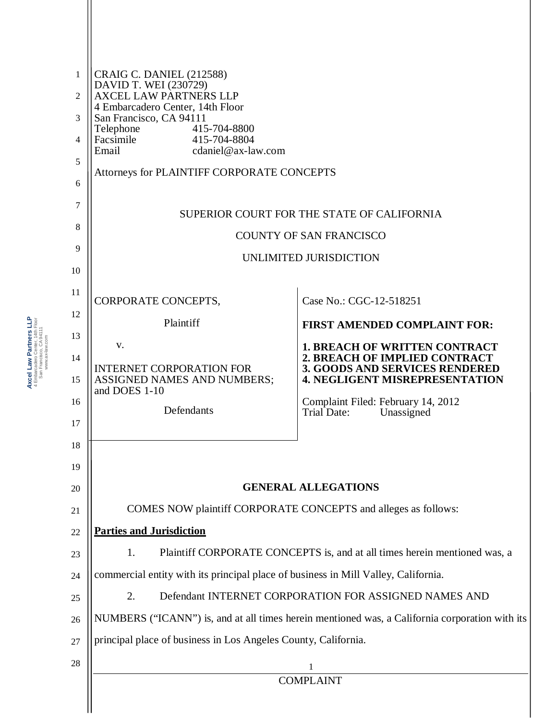| 1        | <b>CRAIG C. DANIEL (212588)</b>                                                                                                                               |                                                                                |  |
|----------|---------------------------------------------------------------------------------------------------------------------------------------------------------------|--------------------------------------------------------------------------------|--|
| 2        | DAVID T. WEI (230729)<br><b>AXCEL LAW PARTNERS LLP</b>                                                                                                        |                                                                                |  |
| 3        | 4 Embarcadero Center, 14th Floor<br>San Francisco, CA 94111<br>Telephone<br>415-704-8800                                                                      |                                                                                |  |
| 4        | 415-704-8804<br>Facsimile<br>Email<br>cdaniel@ax-law.com                                                                                                      |                                                                                |  |
| 5        | Attorneys for PLAINTIFF CORPORATE CONCEPTS                                                                                                                    |                                                                                |  |
| 6        |                                                                                                                                                               |                                                                                |  |
| 7        |                                                                                                                                                               | SUPERIOR COURT FOR THE STATE OF CALIFORNIA                                     |  |
| 8        | <b>COUNTY OF SAN FRANCISCO</b>                                                                                                                                |                                                                                |  |
| 9        | UNLIMITED JURISDICTION                                                                                                                                        |                                                                                |  |
| 10       |                                                                                                                                                               |                                                                                |  |
| 11<br>12 | CORPORATE CONCEPTS,                                                                                                                                           | Case No.: CGC-12-518251                                                        |  |
| 13       | Plaintiff                                                                                                                                                     | <b>FIRST AMENDED COMPLAINT FOR:</b>                                            |  |
| 14       | V.                                                                                                                                                            | <b>1. BREACH OF WRITTEN CONTRACT</b><br><b>2. BREACH OF IMPLIED CONTRACT</b>   |  |
| 15       | <b>INTERNET CORPORATION FOR</b><br>ASSIGNED NAMES AND NUMBERS;<br>and DOES 1-10                                                                               | <b>3. GOODS AND SERVICES RENDERED</b><br><b>4. NEGLIGENT MISREPRESENTATION</b> |  |
| 16       | Defendants                                                                                                                                                    | Complaint Filed: February 14, 2012<br><b>Trial Date:</b><br>Unassigned         |  |
| 17       |                                                                                                                                                               |                                                                                |  |
| 18       |                                                                                                                                                               |                                                                                |  |
| 19       |                                                                                                                                                               |                                                                                |  |
| 20       |                                                                                                                                                               | <b>GENERAL ALLEGATIONS</b>                                                     |  |
| 21       | COMES NOW plaintiff CORPORATE CONCEPTS and alleges as follows:                                                                                                |                                                                                |  |
| 22       | <b>Parties and Jurisdiction</b>                                                                                                                               |                                                                                |  |
| 23       | Plaintiff CORPORATE CONCEPTS is, and at all times herein mentioned was, a<br>1.                                                                               |                                                                                |  |
| 24<br>25 | commercial entity with its principal place of business in Mill Valley, California.                                                                            |                                                                                |  |
| 26       | 2.<br>Defendant INTERNET CORPORATION FOR ASSIGNED NAMES AND<br>NUMBERS ("ICANN") is, and at all times herein mentioned was, a California corporation with its |                                                                                |  |
| 27       | principal place of business in Los Angeles County, California.                                                                                                |                                                                                |  |
| 28       |                                                                                                                                                               |                                                                                |  |
|          | $\mathbf{1}$<br><b>COMPLAINT</b>                                                                                                                              |                                                                                |  |
|          |                                                                                                                                                               |                                                                                |  |

Axcel Law Partners LLP<br>4 Embarcadero Center, 14th Floor<br>San Francisco, CA 94111<br>www.asklaw.com **Axcel Law Partners LLP** 4 Embarcadero Center, 14th Floor San Francisco, CA 94111 www.ax-law.com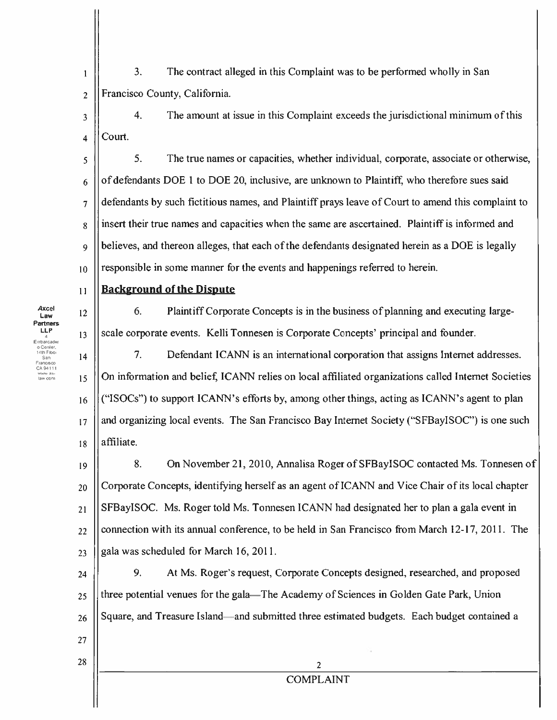- $3.$ The contract alleged in this Complaint was to be performed wholly in San  $\mathbf{I}$ Francisco County, California.  $\overline{2}$
- $\overline{4}$ . The amount at issue in this Complaint exceeds the jurisdictional minimum of this  $\overline{\mathbf{3}}$ Court.  $\overline{\mathbf{A}}$

5. The true names or capacities, whether individual, corporate, associate or otherwise, 5 of defendants DOE 1 to DOE 20, inclusive, are unknown to Plaintiff, who therefore sues said 6 defendants by such fictitious names, and Plaintiff prays leave of Court to amend this complaint to  $\overline{7}$ insert their true names and capacities when the same are ascertained. Plaintiff is informed and  $\overline{8}$ believes, and thereon alleges, that each of the defendants designated herein as a DOE is legally  $\ddot{\mathbf{Q}}$ responsible in some manner for the events and happenings referred to herein.  $10$ 

# **Background of the Dispute**

6. Plaintiff Corporate Concepts is in the business of planning and executing largescale corporate events. Kelli Tonnesen is Corporate Concepts' principal and founder.

 $7.$ Defendant ICANN is an international corporation that assigns Internet addresses.  $14$ On information and belief, ICANN relies on local affiliated organizations called Internet Societies 15 ("ISOCs") to support ICANN's efforts by, among other things, acting as ICANN's agent to plan 16 and organizing local events. The San Francisco Bay Internet Society ("SFBayISOC") is one such  $17$ affiliate.  $18$ 

8. On November 21, 2010, Annalisa Roger of SFBayISOC contacted Ms. Tonnesen of  $19$ Corporate Concepts, identifying herself as an agent of ICANN and Vice Chair of its local chapter 20 SFBayISOC. Ms. Roger told Ms. Tonnesen ICANN had designated her to plan a gala event in  $21$ connection with its annual conference, to be held in San Francisco from March 12-17, 2011. The 22 gala was scheduled for March 16, 2011. 23

9. At Ms. Roger's request, Corporate Concepts designed, researched, and proposed  $24$ three potential venues for the gala—The Academy of Sciences in Golden Gate Park, Union 25 Square, and Treasure Island—and submitted three estimated budgets. Each budget contained a 26

**Axcel** Law Partners LLP mbarcade 4th Finn umu com

 $11$ 

 $12$ 

 $13$ 

27

28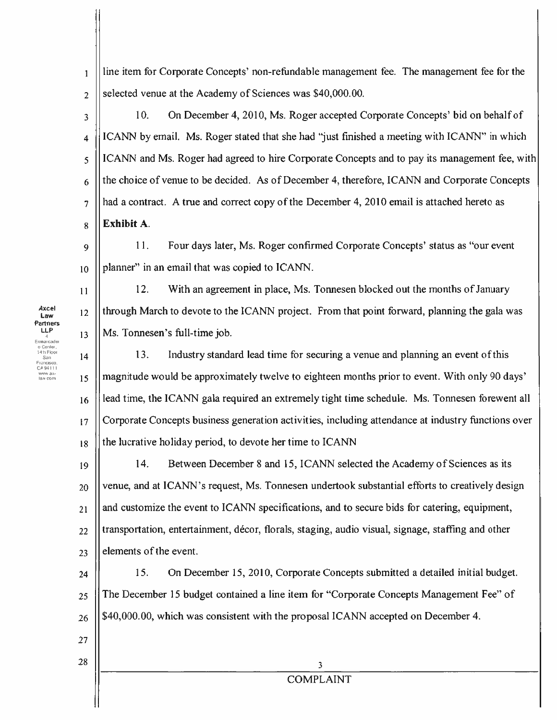the choice of venue to be decided. As of December 4, therefore, ICANN and Corporate Concepts 6 had a contract. A true and correct copy of the December 4, 2010 email is attached hereto as  $\overline{7}$ Exhihit A.  $\overline{\mathbf{g}}$  $11<sub>1</sub>$ Four days later, Ms. Roger confirmed Corporate Concepts' status as "our event"  $\ddot{\mathbf{Q}}$ planner" in an email that was copied to ICANN.  $10<sup>10</sup>$ 12. With an agreement in place, Ms. Tonnesen blocked out the months of January  $11$ through March to devote to the ICANN project. From that point forward, planning the gala was  $12<sup>2</sup>$ Ms. Tonnesen's full-time job.  $13$  $13.$ Industry standard lead time for securing a venue and planning an event of this  $14$ magnitude would be approximately twelve to eighteen months prior to event. With only 90 days' 15 lead time, the ICANN gala required an extremely tight time schedule. Ms. Tonnesen forewent all 16 Corporate Concepts business generation activities, including attendance at industry functions over  $17$ the lucrative holiday period, to devote her time to ICANN 18  $14.$ Between December 8 and 15, ICANN selected the Academy of Sciences as its 19 venue, and at ICANN's request, Ms. Tonnesen undertook substantial efforts to creatively design 20 and customize the event to ICANN specifications, and to secure bids for catering, equipment,  $21$ transportation, entertainment, décor, florals, staging, audio visual, signage, staffing and other 22 elements of the event.  $23$ 15. On December 15, 2010, Corporate Concepts submitted a detailed initial budget. 24 The December 15 budget contained a line item for "Corporate Concepts Management Fee" of 25 \$40,000.00, which was consistent with the proposal ICANN accepted on December 4. 26 27 28 3 **COMPLAINT** 

selected venue at the Academy of Sciences was \$40,000.00.  $\overline{2}$ On December 4, 2010, Ms. Roger accepted Corporate Concepts' bid on behalf of 10.  $\overline{3}$ ICANN by email. Ms. Roger stated that she had "just finished a meeting with ICANN" in which  $\overline{\mathbf{4}}$ 

line item for Corporate Concepts' non-refundable management fee. The management fee for the

ICANN and Ms. Roger had agreed to hire Corporate Concepts and to pay its management fee, with  $\overline{5}$ 

Law **Partners** LLP Embarcader  $14$ lh Floo law com

 $\mathbf{1}$ 

Axcel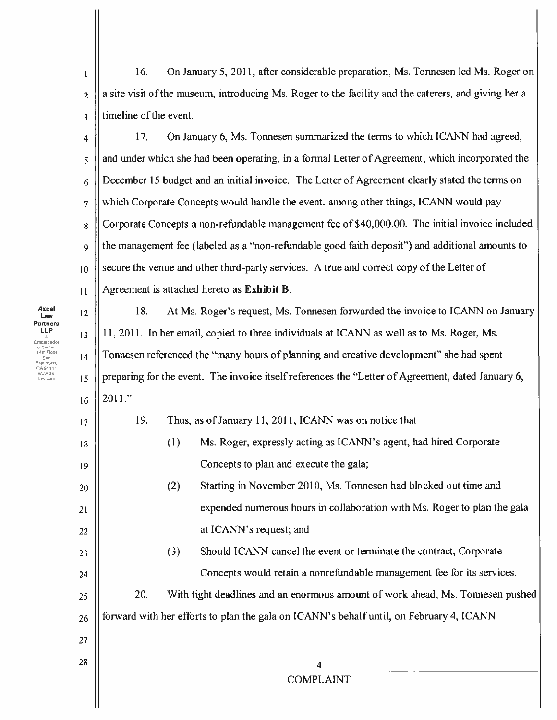16. On January 5, 2011, after considerable preparation, Ms. Tonnesen led Ms. Roger on  $\mathbf{I}$ a site visit of the museum, introducing Ms. Roger to the facility and the caterers, and giving her a  $\overline{2}$ timeline of the event.  $\overline{3}$ 

17. On January 6, Ms. Tonnesen summarized the terms to which ICANN had agreed,  $\overline{\mathbf{4}}$ and under which she had been operating, in a formal Letter of Agreement, which incorporated the 5 December 15 budget and an initial invoice. The Letter of Agreement clearly stated the terms on 6 which Corporate Concepts would handle the event: among other things, ICANN would pay  $\overline{7}$ Corporate Concepts a non-refundable management fee of \$40,000.00. The initial invoice included 8 the management fee (labeled as a "non-refundable good faith deposit") and additional amounts to  $\bf{Q}$ secure the venue and other third-party services. A true and correct copy of the Letter of  $10<sup>10</sup>$ Agreement is attached hereto as Exhibit B.  $11$ 

18. At Ms. Roger's request, Ms. Tonnesen forwarded the invoice to ICANN on January  $12$ 11, 2011. In her email, copied to three individuals at ICANN as well as to Ms. Roger, Ms. Tonnesen referenced the "many hours of planning and creative development" she had spent preparing for the event. The invoice itself references the "Letter of Agreement, dated January 6,  $2011."$ 16

| Thus, as of January 11, 2011, ICANN was on notice that |                                                                   |  |
|--------------------------------------------------------|-------------------------------------------------------------------|--|
|                                                        | Ms. Roger, expressly acting as ICANN's agent, had hired Corporate |  |

at ICANN's request; and

Concepts to plan and execute the gala;  $(2)$ Starting in November 2010, Ms. Tonnesen had blocked out time and expended numerous hours in collaboration with Ms. Roger to plan the gala

# Should ICANN cancel the event or terminate the contract, Corporate  $(3)$ Concepts would retain a nonrefundable management fee for its services.

20. With tight deadlines and an enormous amount of work ahead, Ms. Tonnesen pushed forward with her efforts to plan the gala on ICANN's behalf until, on February 4, ICANN

**COMPLAINT** 

Axcel Law Partners LLP mbarcade ancisco

 $13$ 

 $14$ 

15

17

18

19

20

21

22

23

24

25

26

27

28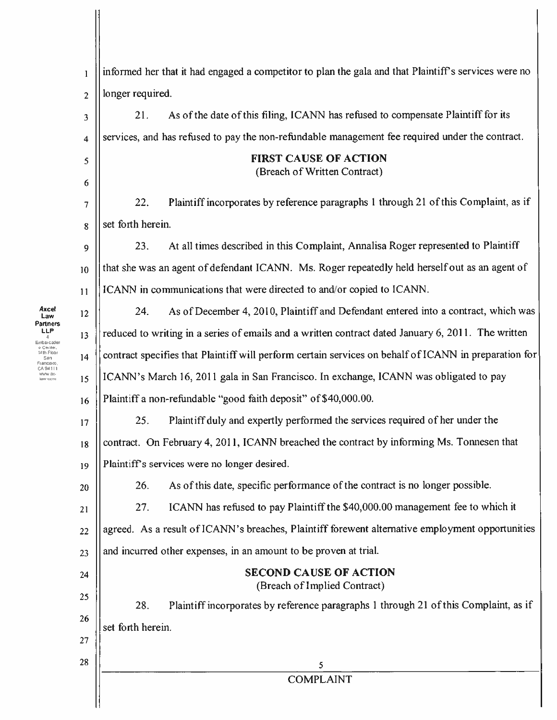| 1              | informed her that it had engaged a competitor to plan the gala and that Plaintiff's services were no  |  |  |
|----------------|-------------------------------------------------------------------------------------------------------|--|--|
| $\overline{2}$ | longer required.                                                                                      |  |  |
| 3              | As of the date of this filing, ICANN has refused to compensate Plaintiff for its<br>21.               |  |  |
| 4              | services, and has refused to pay the non-refundable management fee required under the contract.       |  |  |
| 5<br>6         | <b>FIRST CAUSE OF ACTION</b><br>(Breach of Written Contract)                                          |  |  |
| 7              | Plaint iff incorporates by reference paragraphs 1 through 21 of this Complaint, as if<br>22.          |  |  |
| 8              | set forth herein.                                                                                     |  |  |
| 9              | At all times described in this Complaint, Annalisa Roger represented to Plaintiff<br>23.              |  |  |
| 10             | that she was an agent of defendant ICANN. Ms. Roger repeatedly held herself out as an agent of        |  |  |
| 11             | ICANN in communications that were directed to and/or copied to ICANN.                                 |  |  |
| 12             | As of December 4, 2010, Plaintiff and Defendant entered into a contract, which was<br>24.             |  |  |
| 13             | reduced to writing in a series of emails and a written contract dated January 6, 2011. The written    |  |  |
| 14             | contract specifies that Plaintiff will perform certain services on behalf of ICANN in preparation for |  |  |
| 15             | ICANN's March 16, 2011 gala in San Francisco. In exchange, ICANN was obligated to pay                 |  |  |
| 16             | Plaintiff a non-refundable "good faith deposit" of \$40,000.00.                                       |  |  |
| 17             | Plaintiff duly and expertly performed the services required of her under the<br>25.                   |  |  |
| 18             | contract. On February 4, 2011, ICANN breached the contract by informing Ms. Tonnesen that             |  |  |
| 19             | Plaintiff's services were no longer desired.                                                          |  |  |
| 20             | As of this date, specific performance of the contract is no longer possible.<br>26.                   |  |  |
| 21             | ICANN has refused to pay Plaintiff the \$40,000.00 management fee to which it<br>27.                  |  |  |
| 22             | agreed. As a result of ICANN's breaches, Plaintiff forewent alternative employment opportunities      |  |  |
| 23             | and incurred other expenses, in an amount to be proven at trial.                                      |  |  |
| 24             | <b>SECOND CAUSE OF ACTION</b><br>(Breach of Implied Contract)                                         |  |  |
| 25             | 28.<br>Plaint iff incorporates by reference paragraphs 1 through 21 of this Complaint, as if          |  |  |
| 26             | set forth herein.                                                                                     |  |  |
| 27             |                                                                                                       |  |  |
| 28             | 5<br><b>COMPLAINT</b>                                                                                 |  |  |
|                |                                                                                                       |  |  |

Axcel

**Axcel**<br> **Law**<br> **Cartners**<br> **LP**<br>
Embacader<br>
o Center,<br>
Francisco,<br>
Fancesco,<br>
CA 94111<br>
WWW ax.<br>
law com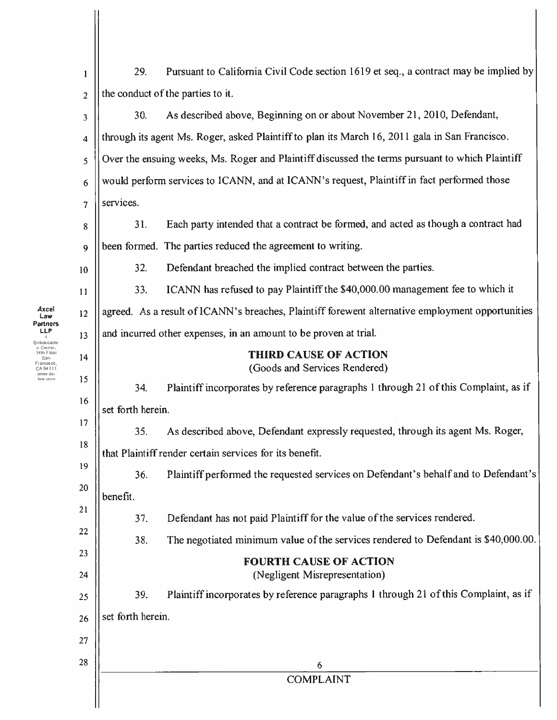| 29.                                                                                             | Pursuant to California Civil Code section 1619 et seq., a contract may be implied by             |
|-------------------------------------------------------------------------------------------------|--------------------------------------------------------------------------------------------------|
|                                                                                                 | the conduct of the parties to it.                                                                |
| 30.                                                                                             | As described above, Beginning on or about November 21, 2010, Defendant,                          |
|                                                                                                 | through its agent Ms. Roger, asked Plaintiff to plan its March 16, 2011 gala in San Francisco.   |
| Over the ensuing weeks, Ms. Roger and Plaintiff discussed the terms pursuant to which Plaintiff |                                                                                                  |
| would perform services to ICANN, and at ICANN's request, Plaintiff in fact performed those      |                                                                                                  |
| services.                                                                                       |                                                                                                  |
| 31.                                                                                             | Each party intended that a contract be formed, and acted as though a contract had                |
|                                                                                                 | been formed. The parties reduced the agreement to writing.                                       |
| 32.                                                                                             | Defendant breached the implied contract between the parties.                                     |
| 33.                                                                                             | ICANN has refused to pay Plaintiff the \$40,000.00 management fee to which it                    |
|                                                                                                 | agreed. As a result of ICANN's breaches, Plaintiff forewent alternative employment opportunities |
| and incurred other expenses, in an amount to be proven at trial.                                |                                                                                                  |
|                                                                                                 | <b>THIRD CAUSE OF ACTION</b><br>(Goods and Services Rendered)                                    |
| 34.                                                                                             | Plaintiff incorporates by reference paragraphs 1 through 21 of this Complaint, as if             |
| set forth herein.                                                                               |                                                                                                  |
| 35.                                                                                             | As described above, Defendant expressly requested, through its agent Ms. Roger,                  |
|                                                                                                 | that Plaintiff render certain services for its benefit.                                          |
| 36.                                                                                             | Plaintiff performed the requested services on Defendant's behalf and to Defendant's              |
| benefit.                                                                                        |                                                                                                  |
| 37.                                                                                             | Defendant has not paid Plaintiff for the value of the services rendered.                         |
| 38.                                                                                             | The negotiated minimum value of the services rendered to Defendant is \$40,000.00.               |
|                                                                                                 | <b>FOURTH CAUSE OF ACTION</b><br>(Negligent Misrepresentation)                                   |
| 39.                                                                                             | Plaintiff incorporates by reference paragraphs 1 through 21 of this Complaint, as if             |
| set forth herein.                                                                               |                                                                                                  |
|                                                                                                 |                                                                                                  |
|                                                                                                 | 6                                                                                                |
|                                                                                                 | <b>COMPLAINT</b>                                                                                 |

 $\begin{array}{c} \textbf{Axcel} \\ \textbf{Law} \\ \textbf{Partners} \\ \textbf{I} \\ \textbf{E} \\ \textbf{f} \\ \textbf{F} \\ \textbf{G} \\ \textbf{G} \\ \textbf{G} \\ \textbf{G} \\ \textbf{G} \\ \textbf{G} \\ \textbf{M} \\ \textbf{H} \\ \textbf{H} \\ \textbf{H} \\ \textbf{W} \\ \textbf{W} \\ \textbf{B} \\ \textbf{W} \\ \textbf{W} \\ \textbf{W} \\ \textbf{W} \\ \textbf{W} \\ \textbf{W} \\ \textbf{W} \\ \textbf{W} \\ \textbf{W} \\ \textbf{W} \\ \$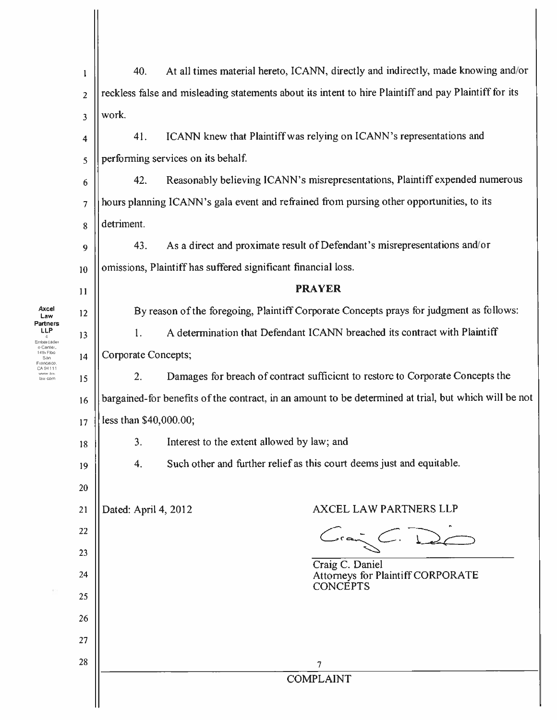| 1                       | 40.                                                                                                   | At all times material hereto, ICANN, directly and indirectly, made knowing and/or                     |
|-------------------------|-------------------------------------------------------------------------------------------------------|-------------------------------------------------------------------------------------------------------|
| $\overline{2}$          |                                                                                                       | reckless false and misleading statements about its intent to hire Plaintiff and pay Plaintiff for its |
| $\overline{\mathbf{3}}$ | work.                                                                                                 |                                                                                                       |
| 4                       | 41.                                                                                                   | ICANN knew that Plaintiff was relying on ICANN's representations and                                  |
| 5                       | performing services on its behalf.                                                                    |                                                                                                       |
| 6                       | 42.                                                                                                   | Reasonably believing ICANN's misrepresentations, Plaintiff expended numerous                          |
| $\overline{7}$          |                                                                                                       | hours planning ICANN's gala event and refrained from pursing other opportunities, to its              |
| 8                       | detriment.                                                                                            |                                                                                                       |
| 9                       | 43.                                                                                                   | As a direct and proximate result of Defendant's misrepresentations and/or                             |
| 10                      |                                                                                                       | omissions, Plaintiff has suffered significant financial loss.                                         |
| 11                      |                                                                                                       | <b>PRAYER</b>                                                                                         |
| 12                      |                                                                                                       | By reason of the foregoing, Plaintiff Corporate Concepts prays for judgment as follows:               |
| 13                      | 1.                                                                                                    | A determination that Defendant ICANN breached its contract with Plaintiff                             |
| 14                      | Corporate Concepts;                                                                                   |                                                                                                       |
| 15                      | 2.                                                                                                    | Damages for breach of contract sufficient to restore to Corporate Concepts the                        |
| 16                      | bargained-for benefits of the contract, in an amount to be determined at trial, but which will be not |                                                                                                       |
| 17                      | less than \$40,000.00;                                                                                |                                                                                                       |
| 18                      | 3.                                                                                                    | Interest to the extent allowed by law; and                                                            |
| 19                      | 4.                                                                                                    | Such other and further relief as this court deems just and equitable.                                 |
| 20                      |                                                                                                       |                                                                                                       |
| 21                      | Dated: April 4, 2012                                                                                  | <b>AXCEL LAW PARTNERS LLP</b>                                                                         |
| 22                      |                                                                                                       |                                                                                                       |
| 23                      |                                                                                                       | Craig C. Daniel                                                                                       |
| 24                      |                                                                                                       | Attorneys for Plaintiff CORPORATE<br><b>CONCEPTS</b>                                                  |
| 25                      |                                                                                                       |                                                                                                       |
| 26                      |                                                                                                       |                                                                                                       |
| 27                      |                                                                                                       |                                                                                                       |
| 28                      |                                                                                                       | 7                                                                                                     |
|                         |                                                                                                       | <b>COMPLAINT</b>                                                                                      |
|                         |                                                                                                       |                                                                                                       |

Axcel

**Axcel**<br> **Law**<br> **Carriers**<br> **Conter, 4**<br> **Carriers**<br> **CADALLY**<br> **CADALLY**<br> **CADALLY**<br> **CADALLY**<br> **CADALLY**<br> **CADALLY**<br> **CADALLY**<br> **CADALLY** 

 $\hat{\Sigma}$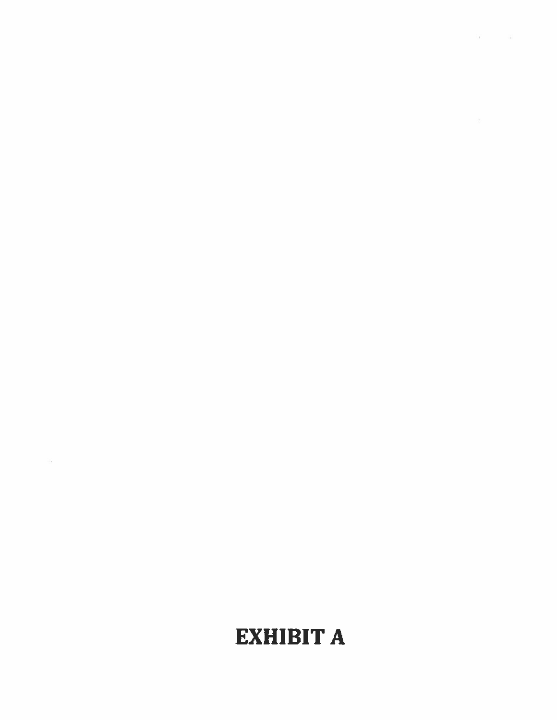# **EXHIBIT A**

 $\frac{1}{2} \frac{1}{2}$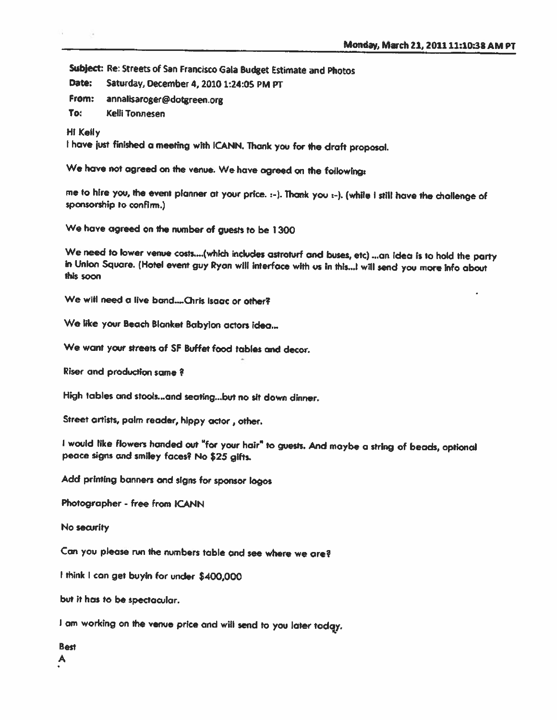Subject: Re: Streets of San Francisco Gala Budget Estimate and Photos

Saturday, December 4, 2010 1:24:05 PM PT Date:

From: annalisaroger@dotgreen.org

To: **Kelli Tonnesen** 

**Hi Kelly** 

I have just finished a meeting with ICANN. Thank you for the draft proposal.

We have not agreed on the venue. We have agreed on the following:

me to hire you, the event planner at your price. :- ). Thank you :- ). (while I still have the challenge of sponsorship to confirm.)

We have agreed on the number of guests to be 1300

We need to lower venue costs....(which includes astroturf and buses, etc) ...an idea is to hold the party in Union Square. (Hotel event guy Ryan will interface with us in this...! will send you more Info about this soon

We will need a live band....Chris isaac or other?

We like your Beach Blanket Babylon actors idea...

We want your streets of SF Buffet food tables and decor.

Riser and production same?

High tables and stools...and seating...but no sit down dinner.

Street artists, palm reader, hippy actor, other.

I would like flowers handed out "for your hair" to guests. And maybe a string of beads, optional peace signs and smiley faces? No \$25 gifts.

Add printing banners and signs for sponsor logos

Photographer - free from ICANN

No security

Can you please run the numbers table and see where we are?

I think I can get buyin for under \$400,000

but it has to be spectacular.

I am working on the venue price and will send to you later today.

**Best** A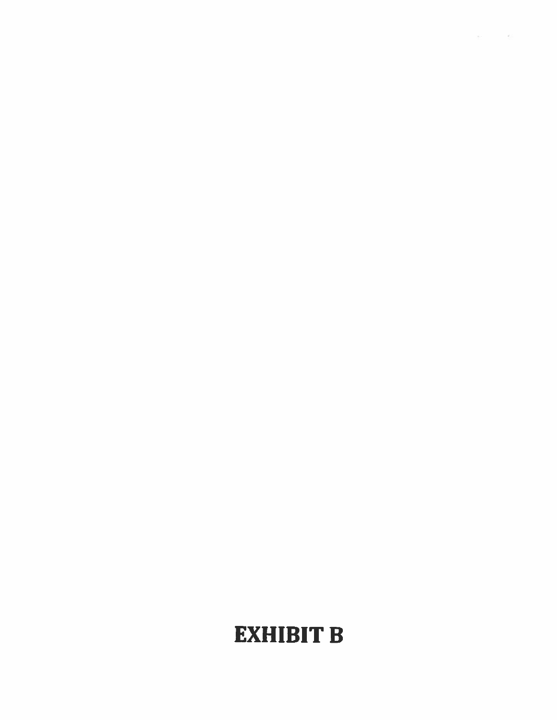# **EXHIBIT B**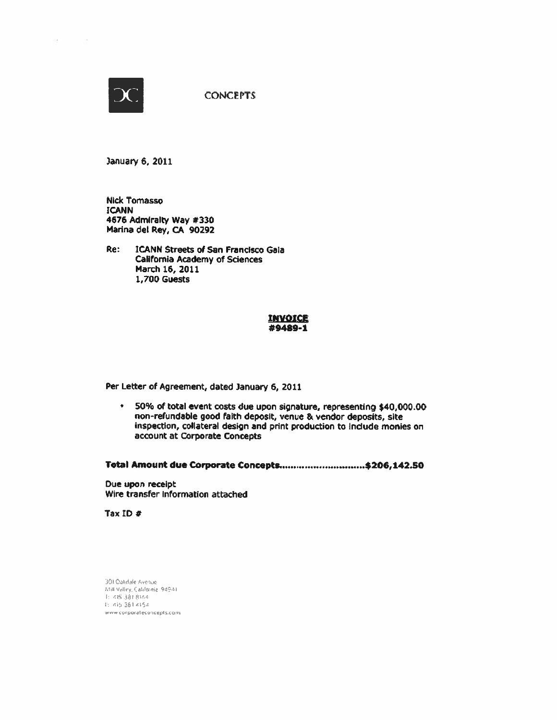

o.

**CONCEPTS** 

January 6, 2011

**Nick Tomasso ICANN** 4676 Admiralty Way #330 Marina del Rey, CA 90292

Re: **ICANN Streets of San Francisco Gala California Academy of Sciences** March 16, 2011 **1,700 Guests** 

#### INVOICE #9489-1

Per Letter of Agreement, dated January 6, 2011

\* 50% of total event costs due upon signature, representing \$40,000.00 non-refundable good faith deposit, venue & vendor deposits, site inspection, collateral design and print production to include monies on account at Corporate Concepts

Total Amount due Corporate Concepts...............................\$206,142.50

Due upon receipt Wire transfer information attached

Tax ID  $#$ 

301 Oakdale Avenue Mill Valley, California, 94941 E 425-381-8144 T: 415-381-4154 www.corporateconcepts.com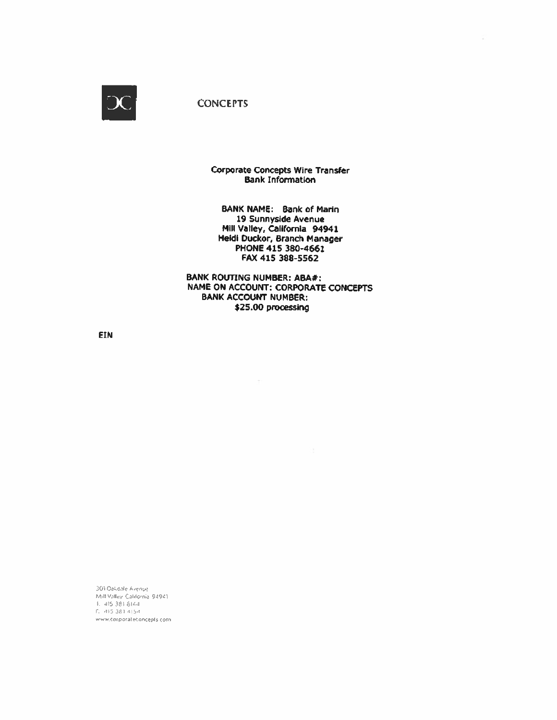

**Corporate Concepts Wire Transfer Bank Information** 

BANK NAME: Bank of Marin 19 Sunnyside Avenue Mill Valley, California 94941 Heidi Duckor, Branch Manager PHONE 415 380-4661 FAX 415 388-5562

**BANK ROUTING NUMBER: ABA#:** NAME ON ACCOUNT: CORPORATE CONCEPTS **BANK ACCOUNT NUMBER:** \$25.00 processing

**EIN** 

301 Oakdale Avenue Mill Valley California 94941  $1.415.381.8144$ f: 415 381 4154 www.corporateconcepts.com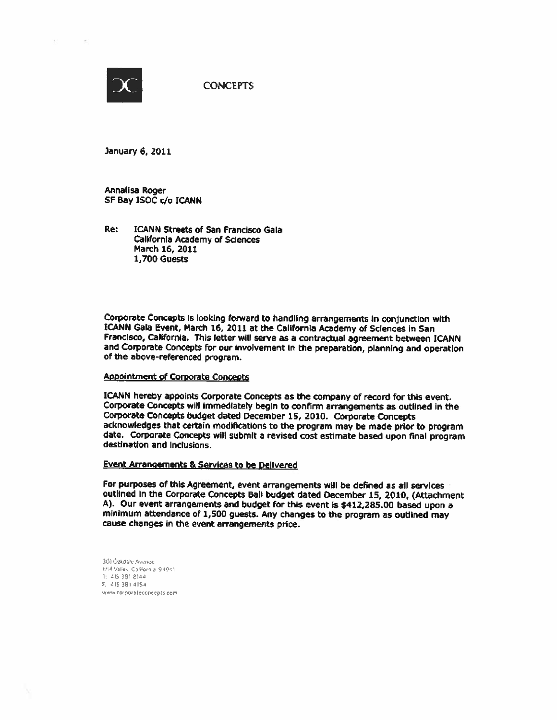

January 6, 2011

Annalisa Roger SF Bay ISOC c/o ICANN

Re: **ICANN Streets of San Francisco Gala** California Academy of Sciences March 16, 2011 1,700 Guests

Corporate Concepts is looking forward to handling arrangements in conjunction with ICANN Gala Event, March 16, 2011 at the California Academy of Sciences in San Francisco, California. This letter will serve as a contractual agreement between ICANN and Corporate Concepts for our involvement in the preparation, planning and operation of the above-referenced program.

#### Appointment of Corporate Concepts

ICANN hereby appoints Corporate Concepts as the company of record for this event. Corporate Concepts will immediately begin to confirm arrangements as outlined in the Corporate Concepts budget dated December 15, 2010. Corporate Concepts acknowledges that certain modifications to the program may be made prior to program date. Corporate Concepts will submit a revised cost estimate based upon final program destination and Inclusions.

#### **Event Arrangements & Services to be Delivered**

For purposes of this Agreement, event arrangements will be defined as all services outlined in the Corporate Concepts Ball budget dated December 15, 2010, (Attachment A). Our event arrangements and budget for this event is \$412,285.00 based upon a minimum attendance of 1,500 guests. Any changes to the program as outlined may cause changes in the event arrangements price.

301 Öakdale Avenue Mill Valley, California, 94941.  $1: 4153918144$ E 415-381-4154 www.corporateconcepts.com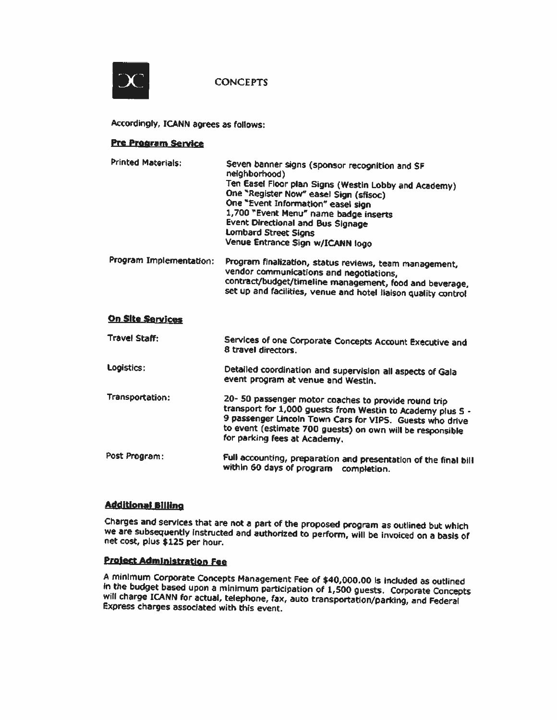

Accordingly, ICANN agrees as follows:

#### **Pre Program Service**

| <b>Printed Materials:</b> | Seven banner signs (sponsor recognition and SF<br>neighborhood)              |  |
|---------------------------|------------------------------------------------------------------------------|--|
|                           | Ten Easel Floor plan Signs (Westin Lobby and Academy)                        |  |
|                           | One "Register Now" easel Sign (sfisoc)<br>One "Event Information" easel sign |  |
|                           | 1,700 "Event Menu" name badge inserts                                        |  |
|                           | <b>Event Directional and Bus Signage</b>                                     |  |
|                           | Lombard Street Signs                                                         |  |
|                           | Venue Entrance Sign w/ICANN logo                                             |  |
| Program Implementation:   | Program finalization, status reviews, team management,                       |  |
|                           | vendor communications and negotiations,                                      |  |

contract/budget/timeline management, food and beverage, set up and facilities, venue and hotel liaison quality control

#### **On Site Services**

| <b>Travel Staff:</b> | Services of one Corporate Concepts Account Executive and<br>8 travel directors.                                                                                                                                                                                             |
|----------------------|-----------------------------------------------------------------------------------------------------------------------------------------------------------------------------------------------------------------------------------------------------------------------------|
| Logistics:           | Detailed coordination and supervision all aspects of Gala<br>event program at venue and Westin.                                                                                                                                                                             |
| Transportation:      | 20- 50 passenger motor coaches to provide round trip<br>transport for 1,000 guests from Westin to Academy plus 5 -<br>9 passenger Lincoln Town Cars for VIPS. Guests who drive<br>to event (estimate 700 guests) on own will be responsible<br>for parking fees at Academy, |
| Post Program:        | Full accounting, preparation and presentation of the final hill                                                                                                                                                                                                             |

# Full accounting, preparation and presentation of the final bill within 60 days of program completion.

# **Additional Billing**

Charges and services that are not a part of the proposed program as outlined but which we are subsequently instructed and authorized to perform, will be invoiced on a basis of net cost, plus \$125 per hour.

# **Project Administration Fee**

A minimum Corporate Concepts Management Fee of \$40,000.00 is included as outlined In the budget based upon a minimum participation of 1,500 guests. Corporate Concepts will charge ICANN for actual, telephone, fax, auto transportation/parking, and Federal Express charges associated with this event.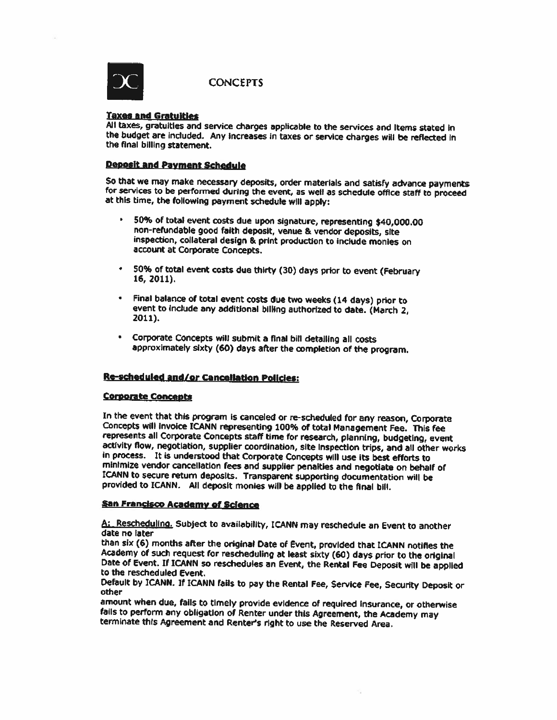

#### **Taxes and Gratuities**

All taxes, gratuities and service charges applicable to the services and Items stated in the budget are included. Any increases in taxes or service charges will be reflected in the final billing statement.

### **Deposit and Payment Schedule**

So that we may make necessary deposits, order materials and satisfy advance payments for services to be performed during the event, as well as schedule office staff to proceed at this time, the following payment schedule will apply:

- 50% of total event costs due upon signature, representing \$40,000.00  $\bullet$ non-refundable good faith deposit, venue & vendor deposits, site inspection, collateral design & print production to include monies on account at Corporate Concepts.
- 50% of total event costs due thirty (30) days prior to event (February 16, 2011).
- Final balance of total event costs due two weeks (14 days) prior to event to include any additional billing authorized to date. (March 2, 2011).
- Corporate Concepts will submit a final bill detailing all costs approximately sixty (60) days after the completion of the program.

## Re-scheduled and/or Cancellation Policies:

#### **Corporate Concepts**

In the event that this program is canceled or re-scheduled for any reason, Corporate Concepts will invoice ICANN representing 100% of total Management Fee. This fee represents all Corporate Concepts staff time for research, planning, budgeting, event activity flow, negotiation, supplier coordination, site inspection trips, and all other works in process. It is understood that Corporate Concepts will use its best efforts to minimize vendor cancellation fees and supplier penalties and negotiate on behalf of ICANN to secure return deposits. Transparent supporting documentation will be provided to ICANN. All deposit monies will be applied to the final bill.

#### San Francisco Academy of Science

A: Rescheduling. Subject to availability, ICANN may reschedule an Event to another date no later

than six (6) months after the original Date of Event, provided that ICANN notifies the Academy of such request for rescheduling at least sixty (60) days prior to the original Date of Event. If ICANN so reschedules an Event, the Rental Fee Deposit will be applied to the rescheduled Event.

Default by ICANN. If ICANN fails to pay the Rental Fee, Service Fee, Security Deposit or other

amount when due, fails to timely provide evidence of required insurance, or otherwise fails to perform any obligation of Renter under this Agreement, the Academy may terminate this Agreement and Renter's right to use the Reserved Area.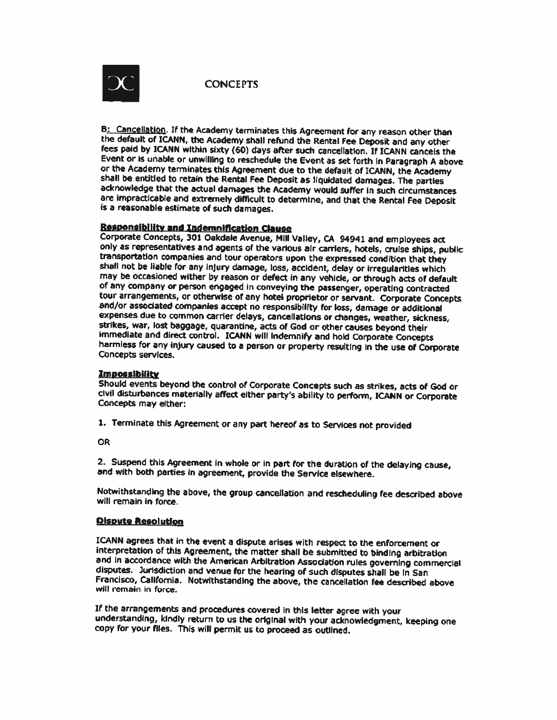

B: Cancellation. If the Academy terminates this Agreement for any reason other than the default of ICANN, the Academy shall refund the Rental Fee Deposit and any other fees paid by ICANN within sixty (60) days after such cancellation. If ICANN cancels the Event or is unable or unwilling to reschedule the Event as set forth in Paragraph A above or the Academy terminates this Agreement due to the default of ICANN, the Academy shall be entitled to retain the Rental Fee Deposit as liquidated damages. The parties acknowledge that the actual damages the Academy would suffer in such circumstances are impracticable and extremely difficult to determine, and that the Rental Fee Deposit is a reasonable estimate of such damages.

#### **Responsibility and Indemnification Clause**

Corporate Concepts, 301 Oakdale Avenue, Mill Valley, CA 94941 and employees act only as representatives and agents of the various air carriers, hotels, cruise ships, public transportation companies and tour operators upon the expressed condition that they shall not be liable for any injury damage, loss, accident, delay or irregularities which may be occasioned wither by reason or defect in any vehicle, or through acts of default of any company or person engaged in conveying the passenger, operating contracted tour arrangements, or otherwise of any hotel proprietor or servant. Corporate Concepts and/or associated companies accept no responsibility for loss, damage or additional expenses due to common carrier delays, cancellations or changes, weather, sickness, strikes, war, lost baggage, quarantine, acts of God or other causes beyond their immediate and direct control. ICANN will indemnify and hold Corporate Concepts harmless for any injury caused to a person or property resulting in the use of Corporate Concepts services.

#### Impossibility

Should events beyond the control of Corporate Concepts such as strikes, acts of God or civil disturbances materially affect either party's ability to perform, ICANN or Corporate Concepts may either:

1. Terminate this Agreement or any part hereof as to Services not provided

**OR** 

2. Suspend this Agreement in whole or in part for the duration of the delaying cause, and with both parties in agreement, provide the Service elsewhere.

Notwithstanding the above, the group cancellation and rescheduling fee described above will remain in force.

#### **Qispute Resolution**

ICANN agrees that in the event a dispute arises with respect to the enforcement or interpretation of this Agreement, the matter shall be submitted to binding arbitration and in accordance with the American Arbitration Association rules governing commercial disputes. Jurisdiction and venue for the hearing of such disputes shall be in San Francisco, California. Notwithstanding the above, the cancellation fee described above will remain in force.

If the arrangements and procedures covered in this letter agree with your understanding, kindly return to us the original with your acknowledgment, keeping one copy for your files. This will permit us to proceed as outlined.